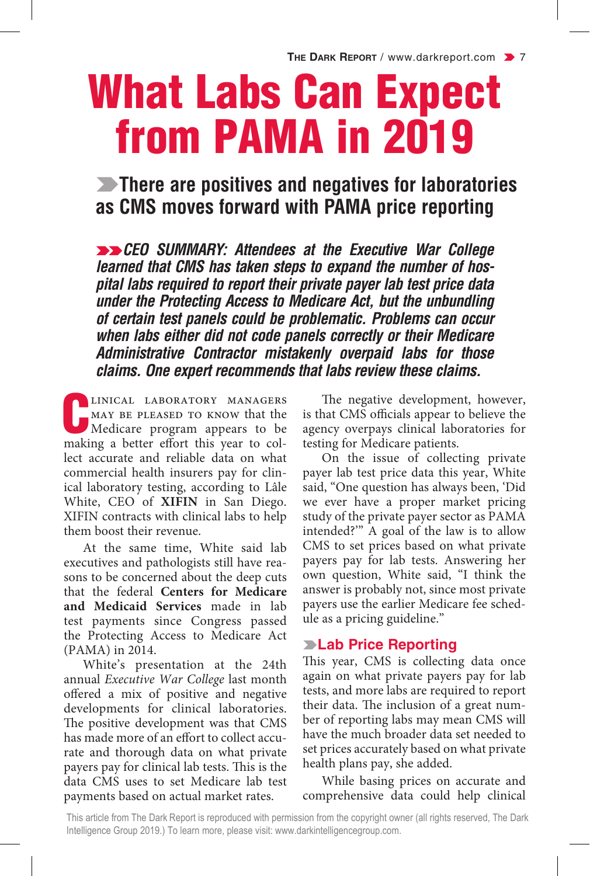# What Labs Can Expect from PAMA in 2019

### **EXAMPLE 20 There are positives and negatives for laboratories as CMS moves forward with PAMA price reporting**

**EXEGO SUMMARY: Attendees at the Executive War College** *learned that CMS has taken steps to expand the number of hospital labs required to report their private payer lab test price data under the Protecting Access to Medicare Act, but the unbundling of certain test panels could be problematic. Problems can occur when labs either did not code panels correctly or their Medicare Administrative Contractor mistakenly overpaid labs for those claims. One expert recommends that labs review these claims.*

LINICAL LABORATORY MANAGERS<br>MAY BE PLEASED TO KNOW that the<br>Medicare program appears to be<br>making a better effort this year to collinical laboratory managers MAY BE PLEASED TO KNOW that the Medicare program appears to be lect accurate and reliable data on what commercial health insurers pay for clinical laboratory testing, according to Lâle White, CEO of **XIFIN** in San Diego. XIFIN contracts with clinical labs to help them boost their revenue.

At the same time, White said lab executives and pathologists still have reasons to be concerned about the deep cuts that the federal **Centers for Medicare and Medicaid Services** made in lab test payments since Congress passed the Protecting Access to Medicare Act (PAMA) in 2014.

White's presentation at the 24th annual *Executive War College* last month offered a mix of positive and negative developments for clinical laboratories. The positive development was that CMS has made more of an effort to collect accurate and thorough data on what private payers pay for clinical lab tests. This is the data CMS uses to set Medicare lab test payments based on actual market rates.

The negative development, however, is that CMS officials appear to believe the agency overpays clinical laboratories for testing for Medicare patients.

On the issue of collecting private payer lab test price data this year, White said, "One question has always been, 'Did we ever have a proper market pricing study of the private payer sector as PAMA intended?'" A goal of the law is to allow CMS to set prices based on what private payers pay for lab tests. Answering her own question, White said, "I think the answer is probably not, since most private payers use the earlier Medicare fee schedule as a pricing guideline."

#### **Example Price Reporting**

This year, CMS is collecting data once again on what private payers pay for lab tests, and more labs are required to report their data. The inclusion of a great number of reporting labs may mean CMS will have the much broader data set needed to set prices accurately based on what private health plans pay, she added.

While basing prices on accurate and comprehensive data could help clinical

This article from The Dark Report is reproduced with permission from the copyright owner (all rights reserved, The Dark Intelligence Group 2019.) To learn more, please visit: www.darkintelligencegroup.com.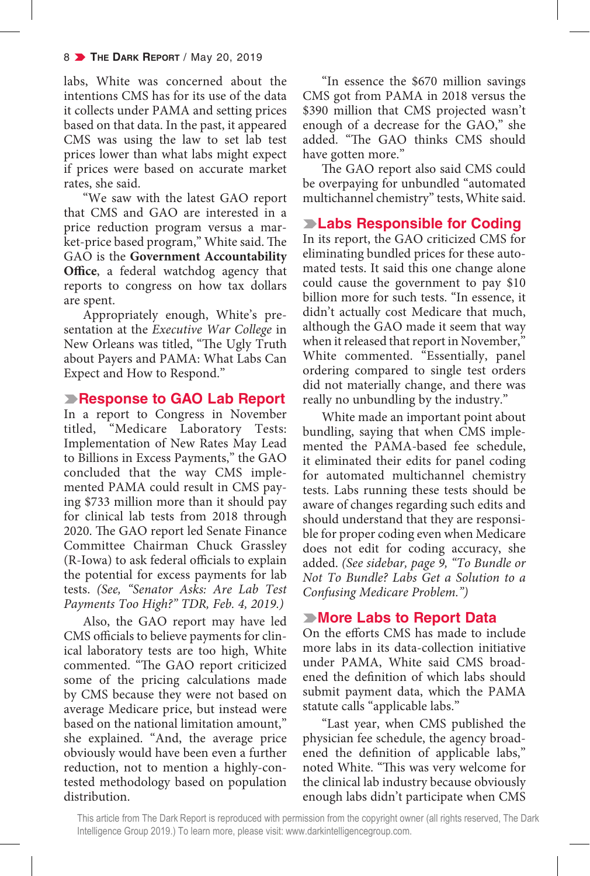labs, White was concerned about the intentions CMS has for its use of the data it collects under PAMA and setting prices based on that data. In the past, it appeared CMS was using the law to set lab test prices lower than what labs might expect if prices were based on accurate market rates, she said.

"We saw with the latest GAO report that CMS and GAO are interested in a price reduction program versus a market-price based program," White said. The GAO is the **Government Accountability Office**, a federal watchdog agency that reports to congress on how tax dollars are spent.

Appropriately enough, White's presentation at the *Executive War College* in New Orleans was titled, "The Ugly Truth about Payers and PAMA: What Labs Can Expect and How to Respond."

#### **Response to GAO Lab Report**

In a report to Congress in November titled, "Medicare Laboratory Tests: Implementation of New Rates May Lead to Billions in Excess Payments," the GAO concluded that the way CMS implemented PAMA could result in CMS paying \$733 million more than it should pay for clinical lab tests from 2018 through 2020. The GAO report led Senate Finance Committee Chairman Chuck Grassley (R-Iowa) to ask federal officials to explain the potential for excess payments for lab tests. *(See, "Senator Asks: Are Lab Test Payments Too High?" TDR, Feb. 4, 2019.)*

Also, the GAO report may have led CMS officials to believe payments for clinical laboratory tests are too high, White commented. "The GAO report criticized some of the pricing calculations made by CMS because they were not based on average Medicare price, but instead were based on the national limitation amount," she explained. "And, the average price obviously would have been even a further reduction, not to mention a highly-contested methodology based on population distribution.

"In essence the \$670 million savings CMS got from PAMA in 2018 versus the \$390 million that CMS projected wasn't enough of a decrease for the GAO," she added. "The GAO thinks CMS should have gotten more."

The GAO report also said CMS could be overpaying for unbundled "automated multichannel chemistry" tests, White said.

**Example 12 Example 13 Example 12 Example 12 Example 2 Example 2 Example 2 Example 2 Example 2 Example 2 Example 2 Example 2 Example 2 Example 2 Example 2 Example 2 Example 2 Example 2 Example 2 Example 2 Example 2 Example** In its report, the GAO criticized CMS for

eliminating bundled prices for these automated tests. It said this one change alone could cause the government to pay \$10 billion more for such tests. "In essence, it didn't actually cost Medicare that much, although the GAO made it seem that way when it released that report in November," White commented. "Essentially, panel ordering compared to single test orders did not materially change, and there was really no unbundling by the industry."

White made an important point about bundling, saying that when CMS implemented the PAMA-based fee schedule, it eliminated their edits for panel coding for automated multichannel chemistry tests. Labs running these tests should be aware of changes regarding such edits and should understand that they are responsible for proper coding even when Medicare does not edit for coding accuracy, she added. *(See sidebar, page 9, "To Bundle or Not To Bundle? Labs Get a Solution to a Confusing Medicare Problem.")* 

#### k**More Labs to Report Data**

On the efforts CMS has made to include more labs in its data-collection initiative under PAMA, White said CMS broadened the definition of which labs should submit payment data, which the PAMA statute calls "applicable labs."

"Last year, when CMS published the physician fee schedule, the agency broadened the definition of applicable labs," noted White. "This was very welcome for the clinical lab industry because obviously enough labs didn't participate when CMS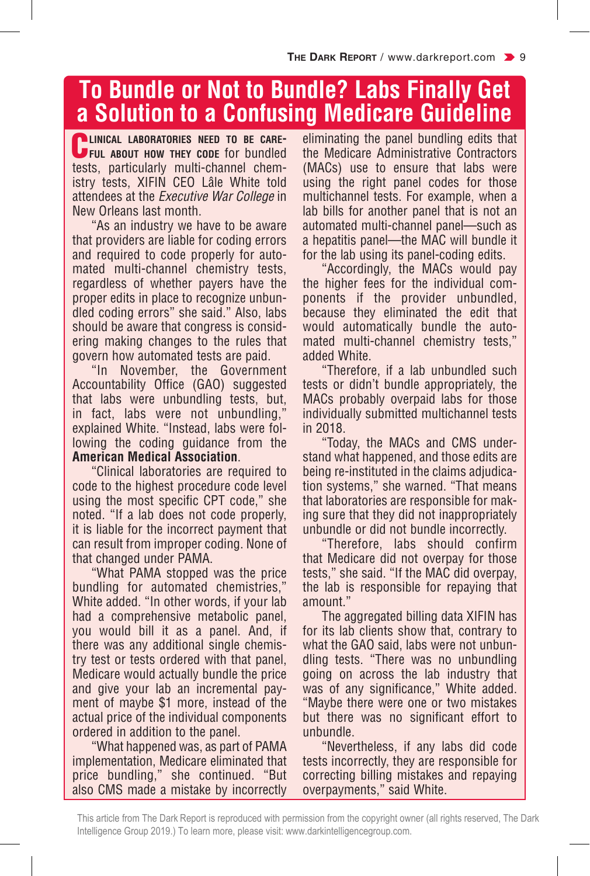# **To Bundle or Not to Bundle? Labs Finally Get a Solution to a Confusing Medicare Guideline**

C**linical laboratories need to be care-ful about how they code** for bundled tests, particularly multi-channel chemistry tests, XIFIN CEO Lâle White told attendees at the *Executive War College* in New Orleans last month.

"As an industry we have to be aware that providers are liable for coding errors and required to code properly for automated multi-channel chemistry tests, regardless of whether payers have the proper edits in place to recognize unbundled coding errors" she said." Also, labs should be aware that congress is considering making changes to the rules that govern how automated tests are paid.

"In November, the Government Accountability Office (GAO) suggested that labs were unbundling tests, but, in fact, labs were not unbundling," explained White. "Instead, labs were following the coding guidance from the **American Medical Association**.

"Clinical laboratories are required to code to the highest procedure code level using the most specific CPT code," she noted. "If a lab does not code properly, it is liable for the incorrect payment that can result from improper coding. None of that changed under PAMA.

"What PAMA stopped was the price bundling for automated chemistries," White added. "In other words, if your lab had a comprehensive metabolic panel, you would bill it as a panel. And, if there was any additional single chemistry test or tests ordered with that panel, Medicare would actually bundle the price and give your lab an incremental payment of maybe \$1 more, instead of the actual price of the individual components ordered in addition to the panel.

"What happened was, as part of PAMA implementation, Medicare eliminated that price bundling," she continued. "But also CMS made a mistake by incorrectly

eliminating the panel bundling edits that the Medicare Administrative Contractors (MACs) use to ensure that labs were using the right panel codes for those multichannel tests. For example, when a lab bills for another panel that is not an automated multi-channel panel—such as a hepatitis panel—the MAC will bundle it for the lab using its panel-coding edits.

"Accordingly, the MACs would pay the higher fees for the individual components if the provider unbundled, because they eliminated the edit that would automatically bundle the automated multi-channel chemistry tests," added White.

"Therefore, if a lab unbundled such tests or didn't bundle appropriately, the MACs probably overpaid labs for those individually submitted multichannel tests in 2018.

"Today, the MACs and CMS understand what happened, and those edits are being re-instituted in the claims adjudication systems," she warned. "That means that laboratories are responsible for making sure that they did not inappropriately unbundle or did not bundle incorrectly.

"Therefore, labs should confirm that Medicare did not overpay for those tests," she said. "If the MAC did overpay, the lab is responsible for repaying that amount."

The aggregated billing data XIFIN has for its lab clients show that, contrary to what the GAO said, labs were not unbundling tests. "There was no unbundling going on across the lab industry that was of any significance," White added. "Maybe there were one or two mistakes but there was no significant effort to unbundle.

"Nevertheless, if any labs did code tests incorrectly, they are responsible for correcting billing mistakes and repaying overpayments," said White.

This article from The Dark Report is reproduced with permission from the copyright owner (all rights reserved, The Dark Intelligence Group 2019.) To learn more, please visit: www.darkintelligencegroup.com.